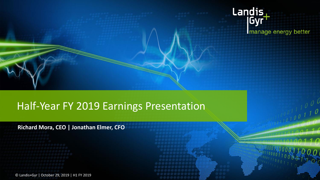

# Half-Year FY 2019 Earnings Presentation

### **Richard Mora, CEO | Jonathan Elmer, CFO**

© Landis+Gyr | October 29, 2019 | H1 FY 2019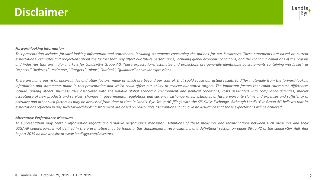# **Disclaimer**



#### *Forward-looking information*

This presentation includes forward-looking information and statements, including statements concerning the outlook for our businesses. These statements are based on current expectations, estimates and projections about the factors that may affect our future performance, including global economic conditions, and the economic conditions of the regions and industries that are major markets for Landis+Gyr Group AG. These expectations, estimates and projections are generally identifiable by statements containing words such as *"expects," "believes," "estimates," "targets," "plans", "outlook", "guidance" or similar expressions.*

There are numerous risks, uncertainties and other factors, many of which are beyond our control, that could cause our actual results to differ materially from the forward-looking information and statements made in this presentation and which could affect our ability to achieve our stated targets. The important factors that could cause such differences include, among others: business risks associated with the volatile global economic environment and political conditions; costs associated with compliance activities; market acceptance of new products and services; changes in governmental regulations and currency exchange rates; estimates of future warranty claims and expenses and sufficiency of accruals; and other such factors as may be discussed from time to time in Landis+Gyr Group AG filings with the SIX Swiss Exchange. Although Landis+Gyr Group AG believes that its expectations reflected in any such forward-looking statement are based on reasonable assumptions, it can give no assurance that those expectations will be achieved.

#### *Alternative Performance Measures*

This presentation may contain information regarding alternative performance measures. Definitions of these measures and reconciliations between such measures and their USGAAP counterparts if not defined in the presentation may be found in the 'Supplemental reconciliations and definitions' section on pages 36 to 42 of the Landis+Gyr Half Year *Report 2019 on our website at www.landisgyr.com/investors.*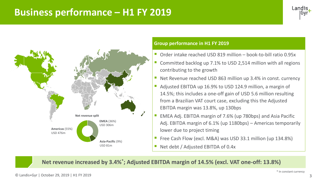# **Business performance – H1 FY 2019**





### **Group performance in H1 FY 2019**

- Order intake reached USD 819 million book-to-bill ratio 0.95x
- Committed backlog up 7.1% to USD 2,514 million with all regions contributing to the growth
- Net Revenue reached USD 863 million up 3.4% in const. currency
- Adjusted EBITDA up 16.9% to USD 124.9 million, a margin of 14.5%; this includes a one-off gain of USD 5.6 million resulting from a Brazilian VAT court case, excluding this the Adjusted EBITDA margin was 13.8%, up 130bps
- EMEA Adj. EBITDA margin of 7.6% (up 780bps) and Asia Pacific Adj. EBITDA margin of 6.1% (up 1180bps) – Americas temporarily lower due to project timing
- Free Cash Flow (excl. M&A) was USD 33.1 million (up 134.8%)
- Net debt / Adjusted EBITDA of 0.4x

**Net revenue increased by 3.4%\* ; Adjusted EBITDA margin of 14.5% (excl. VAT one-off: 13.8%)**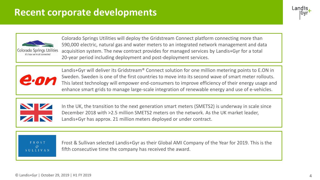# **Recent corporate developments**





Colorado Springs Utilities will deploy the Gridstream Connect platform connecting more than 590,000 electric, natural gas and water meters to an integrated network management and data acquisition system. The new contract provides for managed services by Landis+Gyr for a total 20-year period including deployment and post-deployment services.



Landis+Gyr will deliver its Gridstream<sup>®</sup> Connect solution for one million metering points to E.ON in Sweden. Sweden is one of the first countries to move into its second wave of smart meter rollouts. This latest technology will empower end-consumers to improve efficiency of their energy usage and enhance smart grids to manage large-scale integration of renewable energy and use of e-vehicles.



In the UK, the transition to the next generation smart meters (SMETS2) is underway in scale since December 2018 with >2.5 million SMETS2 meters on the network. As the UK market leader, Landis+Gyr has approx. 21 million meters deployed or under contract.

FROST **SULLIVAN** 

Frost & Sullivan selected Landis+Gyr as their Global AMI Company of the Year for 2019. This is the fifth consecutive time the company has received the award.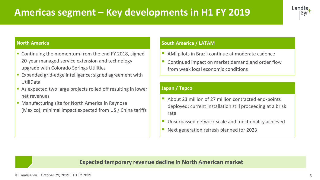# **Americas segment – Key developments in H1 FY 2019**



#### **North America**

- Continuing the momentum from the end FY 2018, signed 20-year managed service extension and technology upgrade with Colorado Springs Utilities
- Expanded grid-edge intelligence; signed agreement with UtiliData
- As expected two large projects rolled off resulting in lower net revenues
- **Manufacturing site for North America in Reynosa** (Mexico); minimal impact expected from US / China tariffs

### **South America / LATAM**

- AMI pilots in Brazil continue at moderate cadence
- **E** Continued impact on market demand and order flow from weak local economic conditions

### **Japan / Tepco**

- About 23 million of 27 million contracted end-points deployed; current installation still proceeding at a brisk rate
- Unsurpassed network scale and functionality achieved
- Next generation refresh planned for 2023

### **Expected temporary revenue decline in North American market**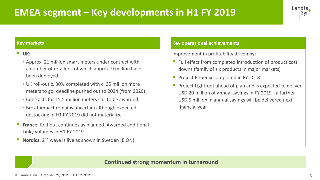# **EMEA segment – Key developments in H1 FY 2019**



#### **Key markets**

### ■ **UK:**

- Approx. 21 million smart meters under contract with a number of retailers, of which approx. 9 million have been deployed
- UK roll-out c. 30% completed with c. 35 million more meters to go; deadline pushed out to 2024 (from 2020)
- Contracts for 15.5 million meters still to be awarded
- Brexit impact remains uncertain although expected destocking in H1 FY 2019 did not materialize
- **France:** Roll-out continues as planned. Awarded additional Linky volumes in H1 FY 2019.
- **Nordics:** 2<sup>nd</sup> wave is live as shown in Sweden (E.ON)

### **Key operational achievements**

Improvement in profitability driven by:

- Full effect from completed introduction of product cost downs (family of six products in major markets)
- **Project Phoenix completed in FY 2018**
- Project Lightfoot ahead of plan and is expected to deliver USD 20 million of annual savings in FY 2019 - a further USD 5 million in annual savings will be delivered next financial year

### **Continued strong momentum in turnaround**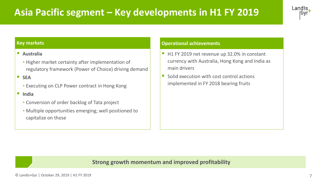# **Asia Pacific segment – Key developments in H1 FY 2019**



#### **Key markets**

### ▪ **Australia**

• Higher market certainty after implementation of regulatory framework (Power of Choice) driving demand

▪ **SEA**

• Executing on CLP Power contract in Hong Kong

### ▪ **India**

- Conversion of order backlog of Tata project
- Multiple opportunities emerging; well positioned to capitalize on those

#### **Operational achievements**

- H1 FY 2019 net revenue up 32.0% in constant currency with Australia, Hong Kong and India as main drivers
- Solid execution with cost control actions implemented in FY 2018 bearing fruits

### **Strong growth momentum and improved profitability**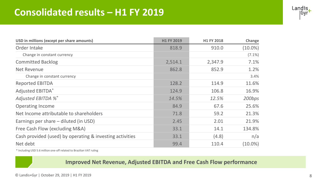# **Consolidated results – H1 FY 2019**

| Landis      |
|-------------|
| <b>IGyr</b> |
|             |

| USD in millions (except per share amounts)               | H1 FY 2019 | H1 FY 2018 | Change     |
|----------------------------------------------------------|------------|------------|------------|
| Order Intake                                             | 818.9      | 910.0      | $(10.0\%)$ |
| Change in constant currency                              |            |            | $(7.1\%)$  |
| <b>Committed Backlog</b>                                 | 2,514.1    | 2,347.9    | 7.1%       |
| Net Revenue                                              | 862.8      | 852.9      | 1.2%       |
| Change in constant currency                              |            |            | 3.4%       |
| <b>Reported EBITDA</b>                                   | 128.2      | 114.9      | 11.6%      |
| <b>Adjusted EBITDA*</b>                                  | 124.9      | 106.8      | 16.9%      |
| Adjusted EBITDA %*                                       | 14.5%      | 12.5%      | 200bps     |
| <b>Operating Income</b>                                  | 84.9       | 67.6       | 25.6%      |
| Net Income attributable to shareholders                  | 71.8       | 59.2       | 21.3%      |
| Earnings per share - diluted (in USD)                    | 2.45       | 2.01       | 21.9%      |
| Free Cash Flow (excluding M&A)                           | 33.1       | 14.1       | 134.8%     |
| Cash provided (used) by operating & investing activities | 33.1       | (4.8)      | n/a        |
| Net debt                                                 | 99.4       | 110.4      | $(10.0\%)$ |

\* Including USD 5.6 million one-off related to Brazilian VAT ruling

### **Improved Net Revenue, Adjusted EBITDA and Free Cash Flow performance**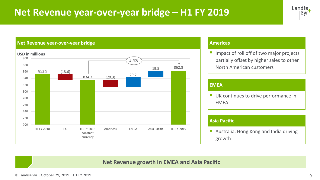# **Net Revenue year-over-year bridge – H1 FY 2019**



#### **Net Revenue year-over-year bridge**



#### **Americas**

**If** Impact of roll off of two major projects partially offset by higher sales to other North American customers

#### **EMEA**

**■ UK continues to drive performance in** EMEA

#### **Asia Pacific**

■ Australia, Hong Kong and India driving growth

### **Net Revenue growth in EMEA and Asia Pacific**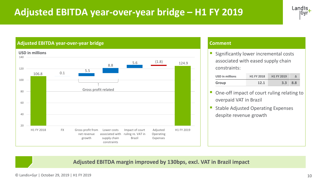# **Adjusted EBITDA year-over-year bridge – H1 FY 2019**



#### **Adjusted EBITDA year-over-year bridge**



#### **Comment**

Significantly lower incremental costs associated with eased supply chain constraints:

| <b>USD in millions</b> | <b>H1 FY 2018</b> | <b>H1 FY 2019</b> |     |
|------------------------|-------------------|-------------------|-----|
| Group                  | 12.1              | 3.3 <sup>°</sup>  | 8.8 |

- One-off impact of court ruling relating to overpaid VAT in Brazil
- **Stable Adjusted Operating Expenses** despite revenue growth

**Adjusted EBITDA margin improved by 130bps, excl. VAT in Brazil impact** 

© Landis+Gyr | October 29, 2019 | H1 FY 2019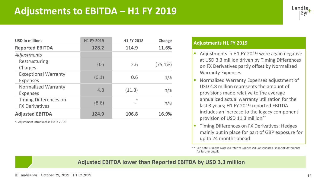

| <b>USD in millions</b>                                | <b>H1 FY 2019</b> | H1 FY 2018 | Change     |
|-------------------------------------------------------|-------------------|------------|------------|
| <b>Reported EBITDA</b>                                | 128.2             | 114.9      | 11.6%      |
| Adjustments                                           |                   |            |            |
| Restructuring<br>Charges                              | 0.6               | 2.6        | $(75.1\%)$ |
| <b>Exceptional Warranty</b><br><b>Expenses</b>        | (0.1)             | 0.6        | n/a        |
| <b>Normalized Warranty</b><br><b>Expenses</b>         | 4.8               | (11.3)     | n/a        |
| <b>Timing Differences on</b><br><b>FX Derivatives</b> | (8.6)             | $\ast$     | n/a        |
| <b>Adjusted EBITDA</b>                                | 124.9             | 106.8      | 16.9%      |

\* Adjustment introduced in H2 FY 2018

#### **Adjustments H1 FY 2019**

- Adjustments in H1 FY 2019 were again negative at USD 3.3 million driven by Timing Differences on FX Derivatives partly offset by Normalized Warranty Expenses
- Normalized Warranty Expenses adjustment of USD 4.8 million represents the amount of provisions made relative to the average annualized actual warranty utilization for the last 3 years; H1 FY 2019 reported EBITDA includes an increase to the legacy component provision of USD 11.3 million\*\*
- **Timing Differences on FX Derivatives: Hedges** mainly put in place for part of GBP exposure for up to 24 months ahead

\*\* See note 13 in the Notes to Interim Condensed Consolidated Financial Statements for further details

### **Adjusted EBITDA lower than Reported EBITDA by USD 3.3 million**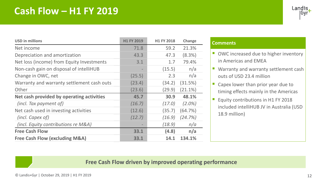# **Cash Flow – H1 FY 2019**



| <b>USD in millions</b>                     | <b>H1 FY 2019</b> | H1 FY 2018 | Change     |
|--------------------------------------------|-------------------|------------|------------|
| Net income                                 | 71.8              | 59.2       | 21.3%      |
| Depreciation and amortization              | 43.3              | 47.3       | (8.3%)     |
| Net loss (income) from Equity Investments  | 3.1               | 1.7        | 79.4%      |
| Non-cash gain on disposal of intelliHUB    |                   | (15.5)     | n/a        |
| Change in OWC, net                         | (25.5)            | 2.3        | n/a        |
| Warranty and warranty settlement cash outs | (23.4)            | (34.2)     | (31.5%)    |
| Other                                      | (23.6)            | (29.9)     | $(21.1\%)$ |
| Net cash provided by operating activities  | 45.7              | 30.9       | 48.1%      |
| (incl. Tax payment of)                     | (16.7)            | (17.0)     | $(2.0\%)$  |
| Net cash used in investing activities      | (12.6)            | (35.7)     | (64.7%)    |
| (incl. Capex of)                           | (12.7)            | (16.9)     | (24.7%)    |
| (incl. Equity contributions re M&A)        |                   | (18.9)     | n/a        |
| <b>Free Cash Flow</b>                      | 33.1              | (4.8)      | n/a        |
| <b>Free Cash Flow (excluding M&amp;A)</b>  | 33.1              | 14.1       | 134.1%     |

#### **Comments**

- OWC increased due to higher inventory in Americas and EMEA
- Warranty and warranty settlement cash outs of USD 23.4 million
- $\blacksquare$  Capex lower than prior year due to timing effects mainly in the Americas
- Equity contributions in H1 FY 2018 included intelliHUB JV in Australia (USD 18.9 million)

### **Free Cash Flow driven by improved operating performance**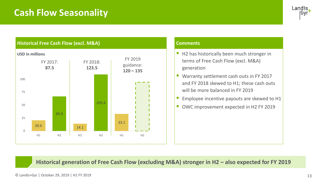# **Cash Flow Seasonality**





#### **Comments**

- H2 has historically been much stronger in terms of Free Cash Flow (excl. M&A) generation
- Warranty settlement cash outs in FY 2017 and FY 2018 skewed to H1; these cash outs will be more balanced in FY 2019
- **Employee incentive payouts are skewed to H1**
- OWC improvement expected in H2 FY 2019

**Historical generation of Free Cash Flow (excluding M&A) stronger in H2 – also expected for FY 2019**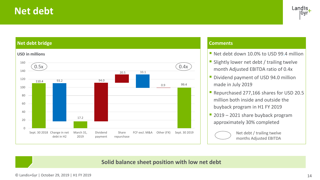# **Net debt**





#### **Comments**

- Net debt down 10.0% to USD 99.4 million
- **E** Slightly lower net debt / trailing twelve month Adjusted EBITDA ratio of 0.4x
- **Dividend payment of USD 94.0 million** made in July 2019
- Repurchased 277,166 shares for USD 20.5 million both inside and outside the buyback program in H1 FY 2019
- 2019 2021 share buyback program approximately 30% completed



Net debt / trailing twelve months Adjusted EBITDA

### **Solid balance sheet position with low net debt**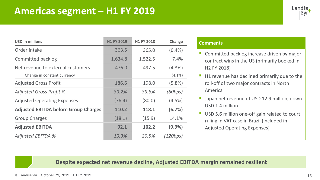

| <b>USD in millions</b>                      | <b>H1 FY 2019</b> | H1 FY 2018 | Change    |
|---------------------------------------------|-------------------|------------|-----------|
| Order intake                                | 363.5             | 365.0      | (0.4% )   |
| <b>Committed backlog</b>                    | 1,634.8           | 1,522.5    | 7.4%      |
| Net revenue to external customers           | 476.0             | 497.5      | (4.3%)    |
| Change in constant currency                 |                   |            | $(4.1\%)$ |
| <b>Adjusted Gross Profit</b>                | 186.6             | 198.0      | $(5.8\%)$ |
| <b>Adjusted Gross Profit %</b>              | 39.2%             | 39.8%      | (60bps)   |
| <b>Adjusted Operating Expenses</b>          | (76.4)            | (80.0)     | (4.5%)    |
| <b>Adjusted EBITDA before Group Charges</b> | 110.2             | 118.1      | (6.7%)    |
| <b>Group Charges</b>                        | (18.1)            | (15.9)     | 14.1%     |
| <b>Adjusted EBITDA</b>                      | 92.1              | 102.2      | (9.9%     |
| <b>Adjusted EBITDA %</b>                    | 19.3%             | 20.5%      | (120bps)  |

#### **Comments**

- Committed backlog increase driven by major contract wins in the US (primarily booked in H2 FY 2018)
- $\blacksquare$  H1 revenue has declined primarily due to the roll-off of two major contracts in North America
- **E** Japan net revenue of USD 12.9 million, down USD 1.4 million
- USD 5.6 million one-off gain related to court ruling in VAT case in Brazil (included in Adjusted Operating Expenses)

### **Despite expected net revenue decline, Adjusted EBITDA margin remained resilient**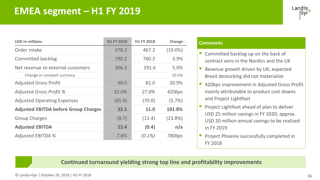

| <b>USD in millions</b>                      | <b>H1 FY 2019</b> | H1 FY 2018 | Change     |
|---------------------------------------------|-------------------|------------|------------|
| Order intake                                | 378.2             | 467.2      | $(19.0\%)$ |
| <b>Committed backlog</b>                    | 790.2             | 760.2      | 3.9%       |
| Net revenue to external customers           | 306.3             | 291.6      | 5.0%       |
| Change in constant currency                 |                   |            | 10.5%      |
| <b>Adjusted Gross Profit</b>                | 98.0              | 81.0       | 20.9%      |
| <b>Adjusted Gross Profit %</b>              | 32.0%             | 27.8%      | 420bps     |
| <b>Adjusted Operating Expenses</b>          | (65.9)            | (70.0)     | (5.7%)     |
| <b>Adjusted EBITDA before Group Charges</b> | 32.1              | 11.0       | 191.8%     |
| <b>Group Charges</b>                        | (8.7)             | (11.4)     | $(23.8\%)$ |
| <b>Adjusted EBITDA</b>                      | 23.4              | (0.4)      | n/a        |
| <b>Adjusted EBITDA %</b>                    | 7.6%              | $(0.1\%)$  | 780bps     |

#### **Comments**

- $\blacksquare$  Committed backlog up on the back of contract wins in the Nordics and the UK
- Revenue growth driven by UK; expected Brexit destocking did not materialize
- 420bps improvement in Adjusted Gross Profit mainly attributable to product cost downs and Project Lightfoot
- Project Lightfoot ahead of plan to deliver USD 25 million savings in FY 2020; approx. USD 20 million annual savings to be realized in FY 2019
- Project Phoenix successfully completed in FY 2018

**Continued turnaround yielding strong top line and profitability improvements**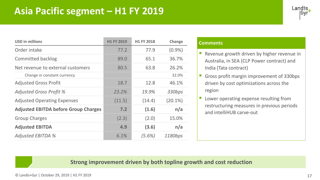# **Asia Pacific segment – H1 FY 2019**



| <b>USD in millions</b>                      | <b>H1 FY 2019</b> | H1 FY 2018 | Change     |
|---------------------------------------------|-------------------|------------|------------|
| Order intake                                | 77.2              | 77.9       | $(0.9\%)$  |
| <b>Committed backlog</b>                    | 89.0              | 65.1       | 36.7%      |
| Net revenue to external customers           | 80.5              | 63.8       | 26.2%      |
| Change in constant currency                 |                   |            | 32.0%      |
| <b>Adjusted Gross Profit</b>                | 18.7              | 12.8       | 46.1%      |
| <b>Adjusted Gross Profit %</b>              | 23.2%             | 19.9%      | 330bps     |
| <b>Adjusted Operating Expenses</b>          | (11.5)            | (14.4)     | $(20.1\%)$ |
| <b>Adjusted EBITDA before Group Charges</b> | 7.2               | (1.6)      | n/a        |
| <b>Group Charges</b>                        | (2.3)             | (2.0)      | 15.0%      |
| <b>Adjusted EBITDA</b>                      | 4.9               | (3.6)      | n/a        |
| <b>Adjusted EBITDA %</b>                    | 6.1%              | $(5.6\%)$  | 1180bps    |

#### **Comments**

- Revenue growth driven by higher revenue in Australia, in SEA (CLP Power contract) and India (Tata contract)
- **Gross profit margin improvement of 330bps** driven by cost optimizations across the region
- **Lower operating expense resulting from** restructuring measures in previous periods and intelliHUB carve-out

### **Strong improvement driven by both topline growth and cost reduction**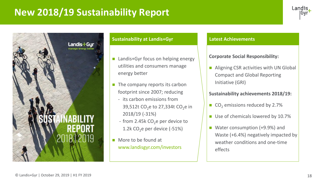# **New 2018/19 Sustainability Report**





#### **Sustainability at Landis+Gyr Latest Achievements**

- Landis+Gyr focus on helping energy utilities and consumers manage energy better
- The company reports its carbon footprint since 2007; reducing
	- its carbon emissions from 39,512t CO<sub>2</sub>e to 27,334t CO<sub>2</sub>e in 2018/19 (-31%)
	- from 2.45 $k$  CO<sub>2</sub>e per device to 1.2k  $CO<sub>2</sub>e$  per device (-51%)
- More to be found at www.landisgyr.com/investors

### **Corporate Social Responsibility:**

◼ Aligning CSR activities with UN Global Compact and Global Reporting Initiative (GRI)

### **Sustainability achievements 2018/19:**

- $\Box$  CO<sub>2</sub> emissions reduced by 2.7%
- Use of chemicals lowered by 10.7%
- Water consumption (+9.9%) and Waste (+6.4%) negatively impacted by weather conditions and one-time effects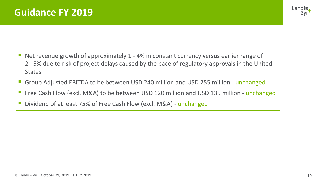

- Net revenue growth of approximately 1 4% in constant currency versus earlier range of 2 - 5% due to risk of project delays caused by the pace of regulatory approvals in the United **States**
- Group Adjusted EBITDA to be between USD 240 million and USD 255 million unchanged
- Free Cash Flow (excl. M&A) to be between USD 120 million and USD 135 million unchanged
- Dividend of at least 75% of Free Cash Flow (excl. M&A) unchanged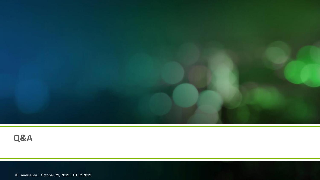

# **Q&A**

© Landis+Gyr | October 29, 2019 | H1 FY 2019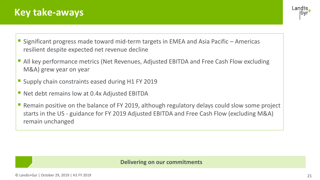# **Key take-aways**



- Significant progress made toward mid-term targets in EMEA and Asia Pacific Americas resilient despite expected net revenue decline
- All key performance metrics (Net Revenues, Adjusted EBITDA and Free Cash Flow excluding M&A) grew year on year
- Supply chain constraints eased during H1 FY 2019
- Net debt remains low at 0.4x Adjusted EBITDA
- Remain positive on the balance of FY 2019, although regulatory delays could slow some project starts in the US - guidance for FY 2019 Adjusted EBITDA and Free Cash Flow (excluding M&A) remain unchanged